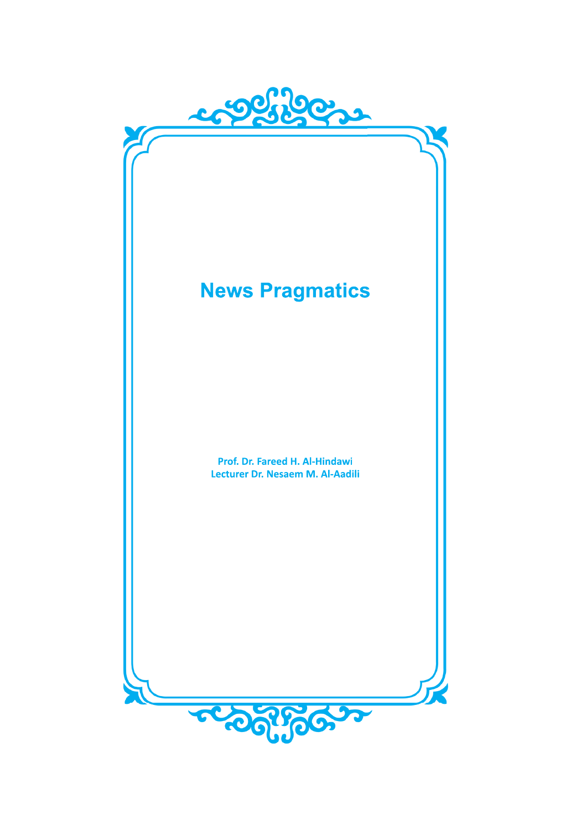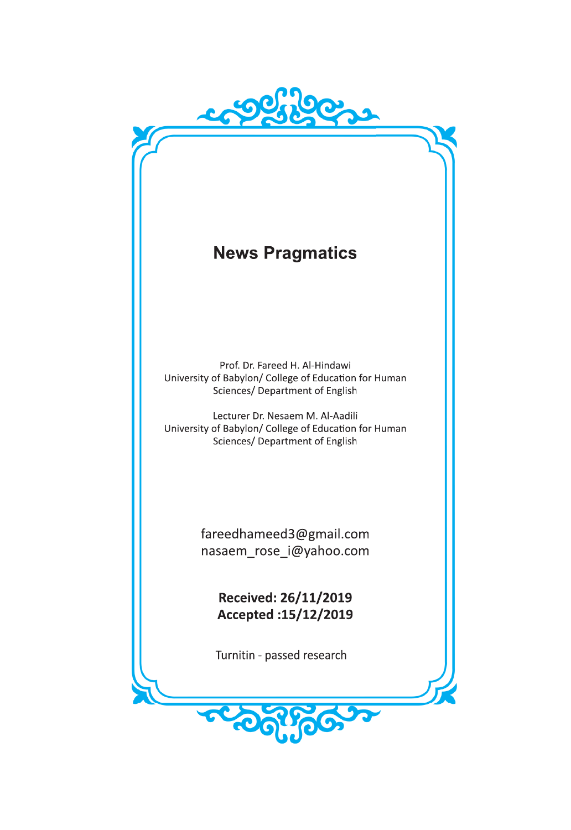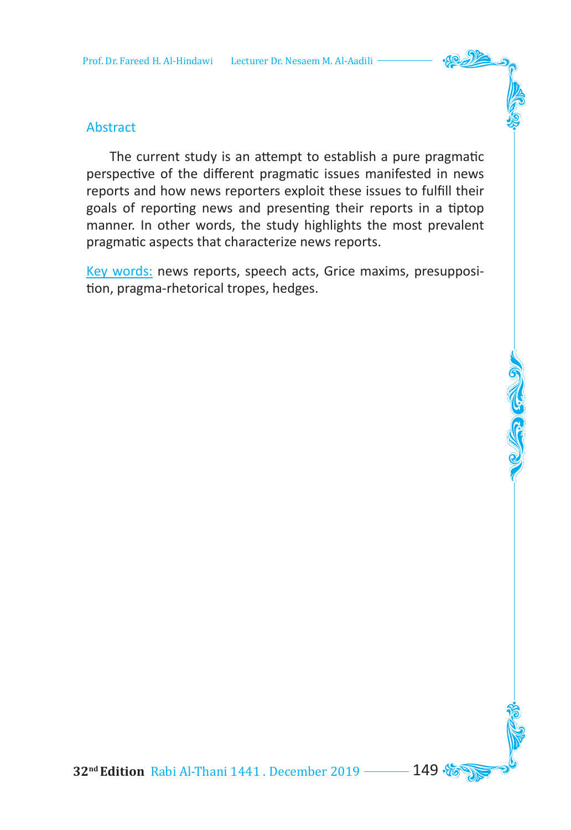

 The current study is an attempt to establish a pure pragmatic perspective of the different pragmatic issues manifested in news reports and how news reporters exploit these issues to fulfill their goals of reporting news and presenting their reports in a tiptop manner. In other words, the study highlights the most prevalent pragmatic aspects that characterize news reports.

Key words: news reports, speech acts, Grice maxims, presupposition, pragma-rhetorical tropes, hedges.

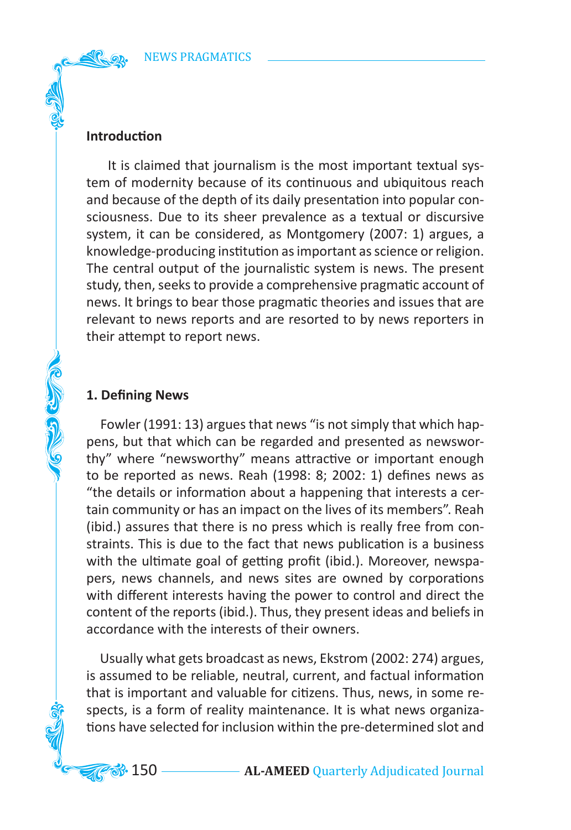### **Introduction**

 It is claimed that journalism is the most important textual system of modernity because of its continuous and ubiquitous reach and because of the depth of its daily presentation into popular consciousness. Due to its sheer prevalence as a textual or discursive system, it can be considered, as Montgomery (2007: 1) argues, a knowledge-producing institution as important as science or religion. The central output of the journalistic system is news. The present study, then, seeks to provide a comprehensive pragmatic account of news. It brings to bear those pragmatic theories and issues that are relevant to news reports and are resorted to by news reporters in their attempt to report news.

### **1. Defining News**

**COLLEGED CLUB** 

 Fowler (1991: 13) argues that news "is not simply that which happens, but that which can be regarded and presented as newsworthy" where "newsworthy" means attractive or important enough to be reported as news. Reah (1998: 8; 2002: 1) defines news as "the details or information about a happening that interests a certain community or has an impact on the lives of its members". Reah (ibid.) assures that there is no press which is really free from constraints. This is due to the fact that news publication is a business with the ultimate goal of getting profit (ibid.). Moreover, newspapers, news channels, and news sites are owned by corporations with different interests having the power to control and direct the content of the reports (ibid.). Thus, they present ideas and beliefs in accordance with the interests of their owners.

 Usually what gets broadcast as news, Ekstrom (2002: 274) argues, is assumed to be reliable, neutral, current, and factual information that is important and valuable for citizens. Thus, news, in some respects, is a form of reality maintenance. It is what news organizations have selected for inclusion within the pre-determined slot and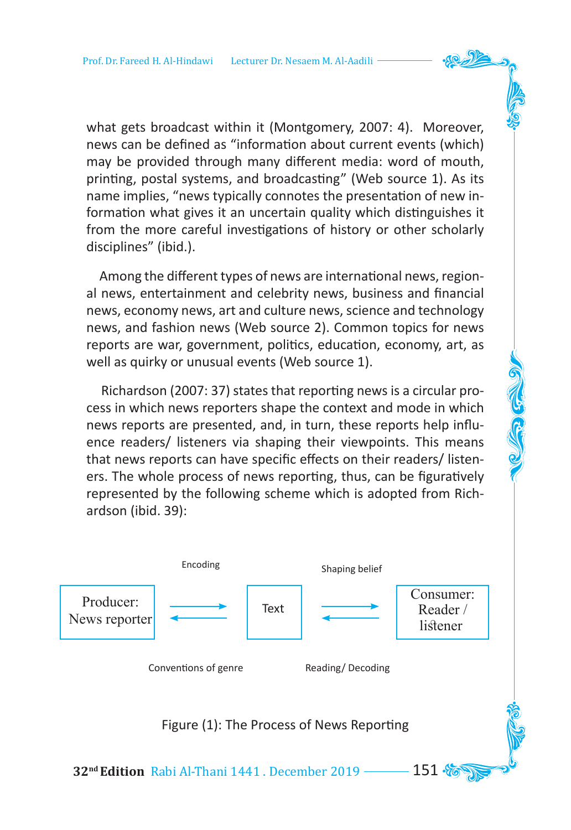what gets broadcast within it (Montgomery, 2007: 4). Moreover, news can be defined as "information about current events (which) may be provided through many different media: word of mouth, printing, postal systems, and broadcasting" (Web source 1). As its name implies, "news typically connotes the presentation of new information what gives it an uncertain quality which distinguishes it from the more careful investigations of history or other scholarly disciplines" (ibid.).

 Among the different types of news are international news, regional news, entertainment and celebrity news, business and financial news, economy news, art and culture news, science and technology news, and fashion news (Web source 2). Common topics for news reports are war, government, politics, education, economy, art, as well as quirky or unusual events (Web source 1).

 Richardson (2007: 37) states that reporting news is a circular process in which news reporters shape the context and mode in which news reports are presented, and, in turn, these reports help influence readers/ listeners via shaping their viewpoints. This means that news reports can have specific effects on their readers/ listeners. The whole process of news reporting, thus, can be figuratively represented by the following scheme which is adopted from Richardson (ibid. 39):



Figure (1): The Process of News Reporting

**32<sup>nd</sup> Edition** Rabi Al-Thani 1441 . December 2019 ––––– 151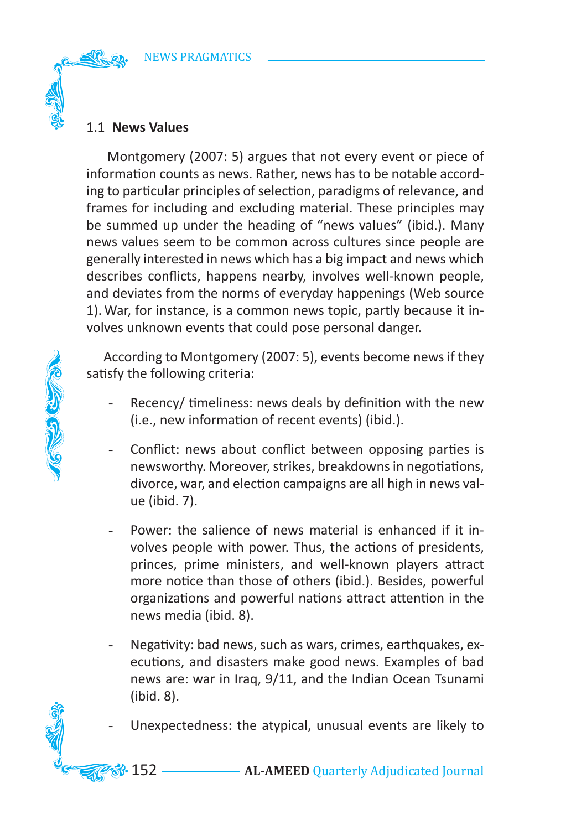# 1.1 **News Values**

CONTROL

 Montgomery (2007: 5) argues that not every event or piece of information counts as news. Rather, news has to be notable according to particular principles of selection, paradigms of relevance, and frames for including and excluding material. These principles may be summed up under the heading of "news values" (ibid.). Many news values seem to be common across cultures since people are generally interested in news which has a big impact and news which describes conflicts, happens nearby, involves well-known people, and deviates from the norms of everyday happenings (Web source 1). War, for instance, is a common news topic, partly because it involves unknown events that could pose personal danger.

 According to Montgomery (2007: 5), events become news if they satisfy the following criteria:

- Recency/ timeliness: news deals by definition with the new (i.e., new information of recent events) (ibid.).
- Conflict: news about conflict between opposing parties is newsworthy. Moreover, strikes, breakdowns in negotiations, divorce, war, and election campaigns are all high in news value (ibid. 7).
- Power: the salience of news material is enhanced if it involves people with power. Thus, the actions of presidents, princes, prime ministers, and well-known players attract more notice than those of others (ibid.). Besides, powerful organizations and powerful nations attract attention in the news media (ibid. 8).
- Negativity: bad news, such as wars, crimes, earthquakes, executions, and disasters make good news. Examples of bad news are: war in Iraq, 9/11, and the Indian Ocean Tsunami (ibid. 8).

Unexpectedness: the atypical, unusual events are likely to

**33.** 152 **AL-AMEED** Quarterly Adjudicated Journal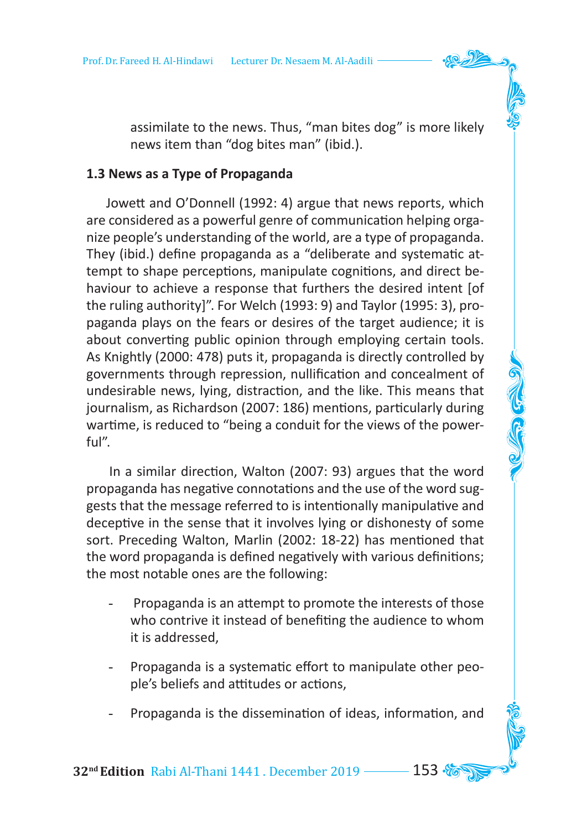assimilate to the news. Thus, "man bites dog" is more likely news item than "dog bites man" (ibid.).

### **1.3 News as a Type of Propaganda**

 Jowett and O'Donnell (1992: 4) argue that news reports, which are considered as a powerful genre of communication helping organize people's understanding of the world, are a type of propaganda. They (ibid.) define propaganda as a "deliberate and systematic attempt to shape perceptions, manipulate cognitions, and direct behaviour to achieve a response that furthers the desired intent [of the ruling authority]". For Welch (1993: 9) and Taylor (1995: 3), propaganda plays on the fears or desires of the target audience; it is about converting public opinion through employing certain tools. As Knightly (2000: 478) puts it, propaganda is directly controlled by governments through repression, nullification and concealment of undesirable news, lying, distraction, and the like. This means that journalism, as Richardson (2007: 186) mentions, particularly during wartime, is reduced to "being a conduit for the views of the powerful".

 In a similar direction, Walton (2007: 93) argues that the word propaganda has negative connotations and the use of the word suggests that the message referred to is intentionally manipulative and deceptive in the sense that it involves lying or dishonesty of some sort. Preceding Walton, Marlin (2002: 18-22) has mentioned that the word propaganda is defined negatively with various definitions; the most notable ones are the following:

- Propaganda is an attempt to promote the interests of those who contrive it instead of benefiting the audience to whom it is addressed,
- Propaganda is a systematic effort to manipulate other people's beliefs and attitudes or actions,
- Propaganda is the dissemination of ideas, information, and

**32<sup>nd</sup> Edition** Rabi Al-Thani 1441 . December 2019 – 153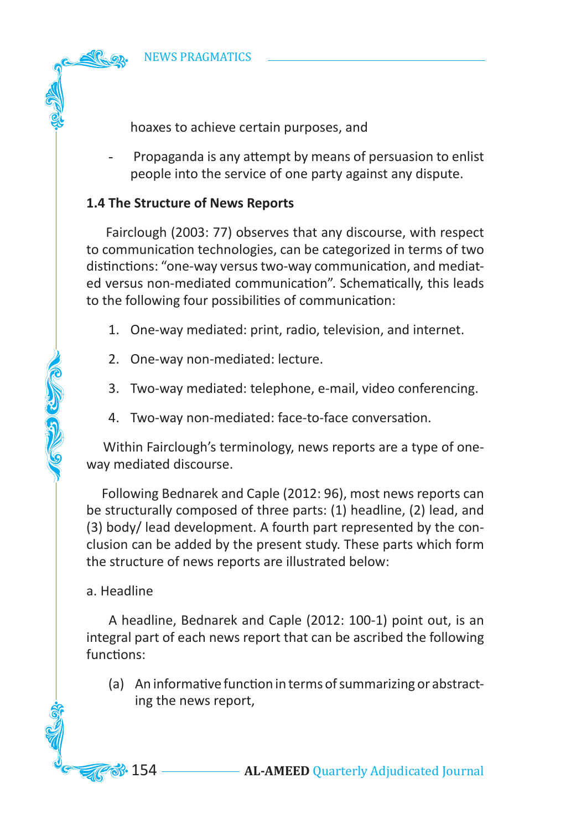hoaxes to achieve certain purposes, and

- Propaganda is any attempt by means of persuasion to enlist people into the service of one party against any dispute.

# **1.4 The Structure of News Reports**

 Fairclough (2003: 77) observes that any discourse, with respect to communication technologies, can be categorized in terms of two distinctions: "one-way versus two-way communication, and mediated versus non-mediated communication". Schematically, this leads to the following four possibilities of communication:

- 1. One-way mediated: print, radio, television, and internet.
- 2. One-way non-mediated: lecture.
- 3. Two-way mediated: telephone, e-mail, video conferencing.
- 4. Two-way non-mediated: face-to-face conversation.

 Within Fairclough's terminology, news reports are a type of oneway mediated discourse.

 Following Bednarek and Caple (2012: 96), most news reports can be structurally composed of three parts: (1) headline, (2) lead, and (3) body/ lead development. A fourth part represented by the conclusion can be added by the present study. These parts which form the structure of news reports are illustrated below:

# a. Headline

**COLLEGE COLLEGE** 

 A headline, Bednarek and Caple (2012: 100-1) point out, is an integral part of each news report that can be ascribed the following functions:

(a) An informative function in terms of summarizing or abstracting the news report,

**3**. 154 — **AL-AMEED** Quarterly Adjudicated Journal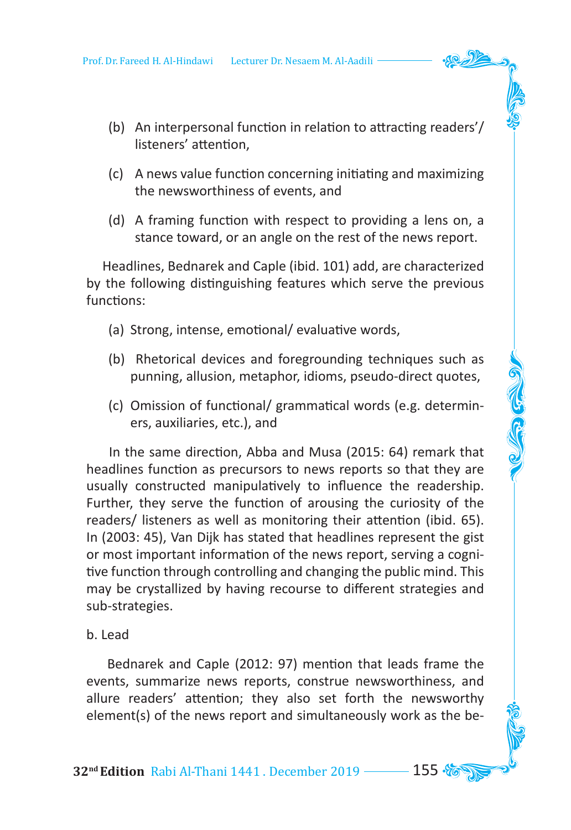- (b) An interpersonal function in relation to attracting readers'/ listeners' attention,
- (c) A news value function concerning initiating and maximizing the newsworthiness of events, and
- (d) A framing function with respect to providing a lens on, a stance toward, or an angle on the rest of the news report.

 Headlines, Bednarek and Caple (ibid. 101) add, are characterized by the following distinguishing features which serve the previous functions:

- (a) Strong, intense, emotional/ evaluative words,
- (b) Rhetorical devices and foregrounding techniques such as punning, allusion, metaphor, idioms, pseudo-direct quotes,
- (c) Omission of functional/ grammatical words (e.g. determiners, auxiliaries, etc.), and

 In the same direction, Abba and Musa (2015: 64) remark that headlines function as precursors to news reports so that they are usually constructed manipulatively to influence the readership. Further, they serve the function of arousing the curiosity of the readers/ listeners as well as monitoring their attention (ibid. 65). In (2003: 45), Van Dijk has stated that headlines represent the gist or most important information of the news report, serving a cognitive function through controlling and changing the public mind. This may be crystallized by having recourse to different strategies and sub-strategies.

### b. Lead

 Bednarek and Caple (2012: 97) mention that leads frame the events, summarize news reports, construe newsworthiness, and allure readers' attention; they also set forth the newsworthy element(s) of the news report and simultaneously work as the be-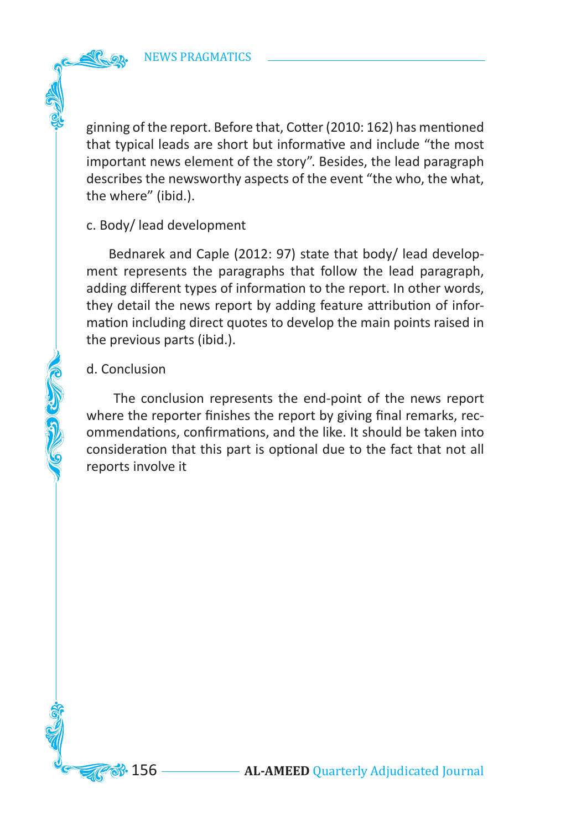ginning of the report. Before that, Cotter (2010: 162) has mentioned that typical leads are short but informative and include "the most important news element of the story". Besides, the lead paragraph describes the newsworthy aspects of the event "the who, the what, the where" (ibid.).

### c. Body/ lead development

 Bednarek and Caple (2012: 97) state that body/ lead development represents the paragraphs that follow the lead paragraph, adding different types of information to the report. In other words, they detail the news report by adding feature attribution of information including direct quotes to develop the main points raised in the previous parts (ibid.).

## d. Conclusion

College College

 The conclusion represents the end-point of the news report where the reporter finishes the report by giving final remarks, recommendations, confirmations, and the like. It should be taken into consideration that this part is optional due to the fact that not all reports involve it

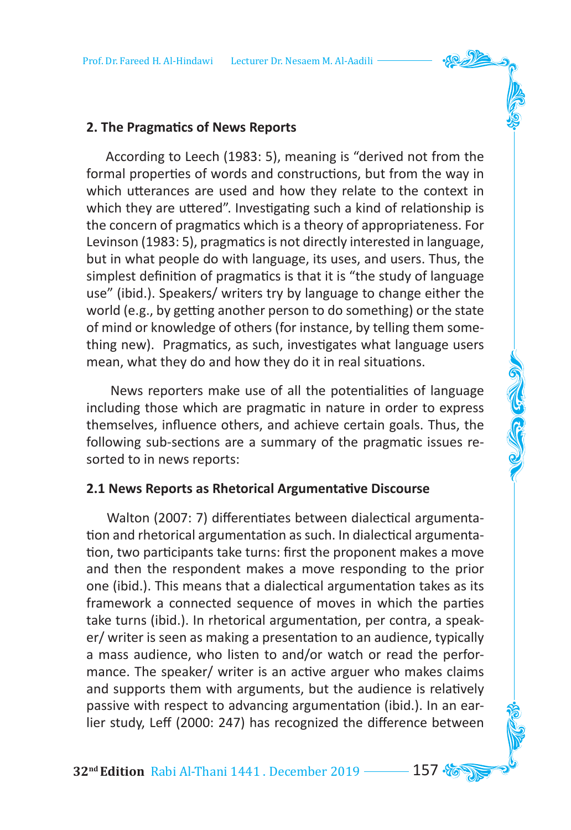## **2. The Pragmatics of News Reports**

 According to Leech (1983: 5), meaning is "derived not from the formal properties of words and constructions, but from the way in which utterances are used and how they relate to the context in which they are uttered". Investigating such a kind of relationship is the concern of pragmatics which is a theory of appropriateness. For Levinson (1983: 5), pragmatics is not directly interested in language, but in what people do with language, its uses, and users. Thus, the simplest definition of pragmatics is that it is "the study of language use" (ibid.). Speakers/ writers try by language to change either the world (e.g., by getting another person to do something) or the state of mind or knowledge of others (for instance, by telling them something new). Pragmatics, as such, investigates what language users mean, what they do and how they do it in real situations.

 News reporters make use of all the potentialities of language including those which are pragmatic in nature in order to express themselves, influence others, and achieve certain goals. Thus, the following sub-sections are a summary of the pragmatic issues resorted to in news reports:

### **2.1 News Reports as Rhetorical Argumentative Discourse**

 Walton (2007: 7) differentiates between dialectical argumentation and rhetorical argumentation as such. In dialectical argumentation, two participants take turns: first the proponent makes a move and then the respondent makes a move responding to the prior one (ibid.). This means that a dialectical argumentation takes as its framework a connected sequence of moves in which the parties take turns (ibid.). In rhetorical argumentation, per contra, a speaker/ writer is seen as making a presentation to an audience, typically a mass audience, who listen to and/or watch or read the performance. The speaker/ writer is an active arguer who makes claims and supports them with arguments, but the audience is relatively passive with respect to advancing argumentation (ibid.). In an earlier study, Leff (2000: 247) has recognized the difference between

**32nd Edition** Rabi Al-Thani 1441 . December 2019 157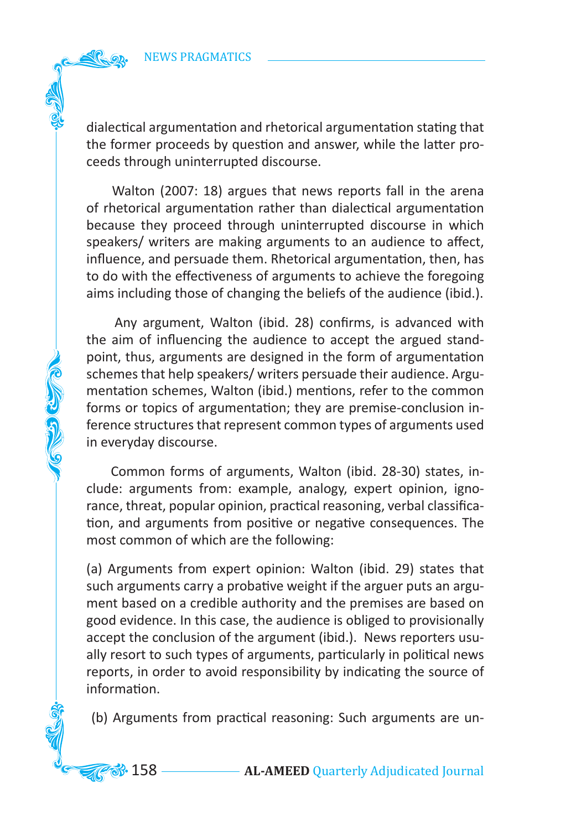**COLLEGED** 

dialectical argumentation and rhetorical argumentation stating that the former proceeds by question and answer, while the latter proceeds through uninterrupted discourse.

 Walton (2007: 18) argues that news reports fall in the arena of rhetorical argumentation rather than dialectical argumentation because they proceed through uninterrupted discourse in which speakers/ writers are making arguments to an audience to affect, influence, and persuade them. Rhetorical argumentation, then, has to do with the effectiveness of arguments to achieve the foregoing aims including those of changing the beliefs of the audience (ibid.).

 Any argument, Walton (ibid. 28) confirms, is advanced with the aim of influencing the audience to accept the argued standpoint, thus, arguments are designed in the form of argumentation schemes that help speakers/ writers persuade their audience. Argumentation schemes, Walton (ibid.) mentions, refer to the common forms or topics of argumentation; they are premise-conclusion inference structures that represent common types of arguments used in everyday discourse.

 Common forms of arguments, Walton (ibid. 28-30) states, include: arguments from: example, analogy, expert opinion, ignorance, threat, popular opinion, practical reasoning, verbal classification, and arguments from positive or negative consequences. The most common of which are the following:

(a) Arguments from expert opinion: Walton (ibid. 29) states that such arguments carry a probative weight if the arguer puts an argument based on a credible authority and the premises are based on good evidence. In this case, the audience is obliged to provisionally accept the conclusion of the argument (ibid.). News reporters usually resort to such types of arguments, particularly in political news reports, in order to avoid responsibility by indicating the source of information.

(b) Arguments from practical reasoning: Such arguments are un-

**88.** 158 — **AL-AMEED** Quarterly Adjudicated Journal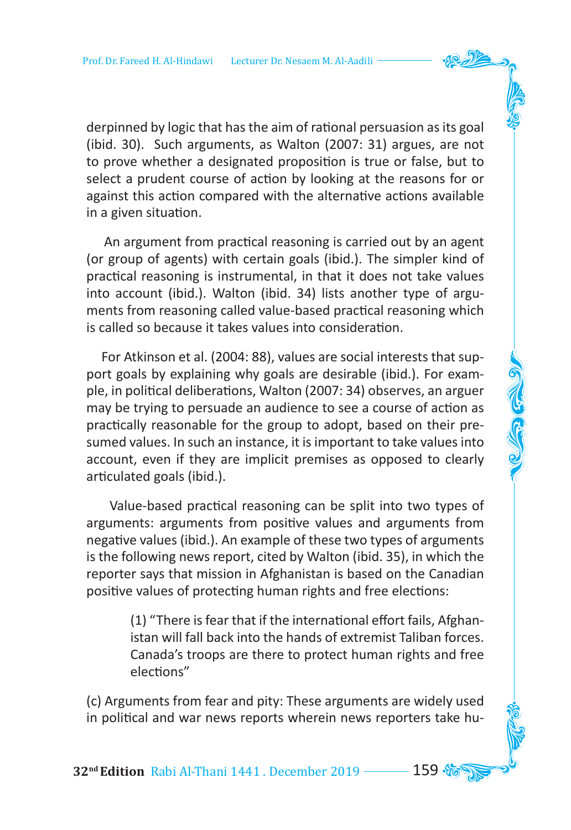derpinned by logic that has the aim of rational persuasion as its goal (ibid. 30). Such arguments, as Walton (2007: 31) argues, are not to prove whether a designated proposition is true or false, but to select a prudent course of action by looking at the reasons for or against this action compared with the alternative actions available in a given situation.

 An argument from practical reasoning is carried out by an agent (or group of agents) with certain goals (ibid.). The simpler kind of practical reasoning is instrumental, in that it does not take values into account (ibid.). Walton (ibid. 34) lists another type of arguments from reasoning called value-based practical reasoning which is called so because it takes values into consideration.

 For Atkinson et al. (2004: 88), values are social interests that support goals by explaining why goals are desirable (ibid.). For example, in political deliberations, Walton (2007: 34) observes, an arguer may be trying to persuade an audience to see a course of action as practically reasonable for the group to adopt, based on their presumed values. In such an instance, it is important to take values into account, even if they are implicit premises as opposed to clearly articulated goals (ibid.).

 Value-based practical reasoning can be split into two types of arguments: arguments from positive values and arguments from negative values (ibid.). An example of these two types of arguments is the following news report, cited by Walton (ibid. 35), in which the reporter says that mission in Afghanistan is based on the Canadian positive values of protecting human rights and free elections:

> (1) "There is fear that if the international effort fails, Afghanistan will fall back into the hands of extremist Taliban forces. Canada's troops are there to protect human rights and free elections"

(c) Arguments from fear and pity: These arguments are widely used in political and war news reports wherein news reporters take hu-

**32<sup>nd</sup> Edition** Rabi Al-Thani 1441 . December 2019 **159**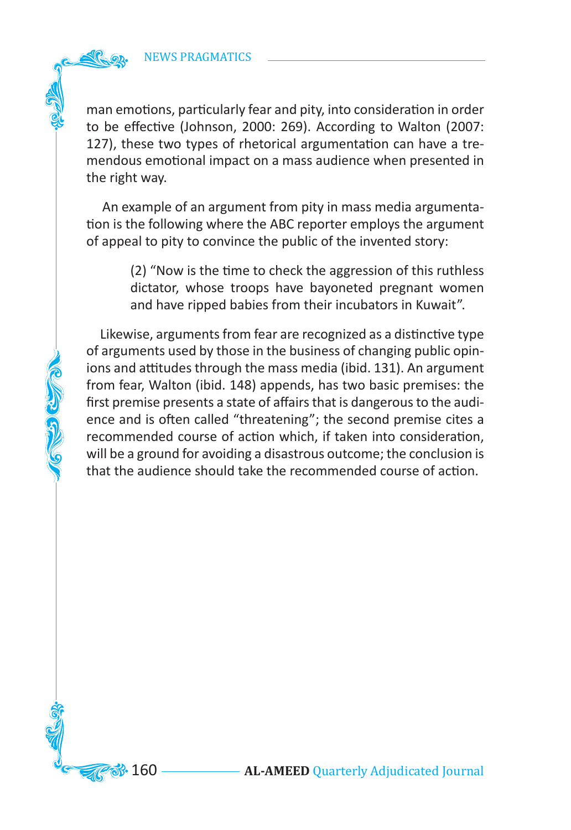**COLLEGE CLUBBER** 

man emotions, particularly fear and pity, into consideration in order to be effective (Johnson, 2000: 269). According to Walton (2007: 127), these two types of rhetorical argumentation can have a tremendous emotional impact on a mass audience when presented in the right way.

 An example of an argument from pity in mass media argumentation is the following where the ABC reporter employs the argument of appeal to pity to convince the public of the invented story:

> (2) "Now is the time to check the aggression of this ruthless dictator, whose troops have bayoneted pregnant women and have ripped babies from their incubators in Kuwait".

 Likewise, arguments from fear are recognized as a distinctive type of arguments used by those in the business of changing public opinions and attitudes through the mass media (ibid. 131). An argument from fear, Walton (ibid. 148) appends, has two basic premises: the first premise presents a state of affairs that is dangerous to the audience and is often called "threatening"; the second premise cites a recommended course of action which, if taken into consideration, will be a ground for avoiding a disastrous outcome; the conclusion is that the audience should take the recommended course of action.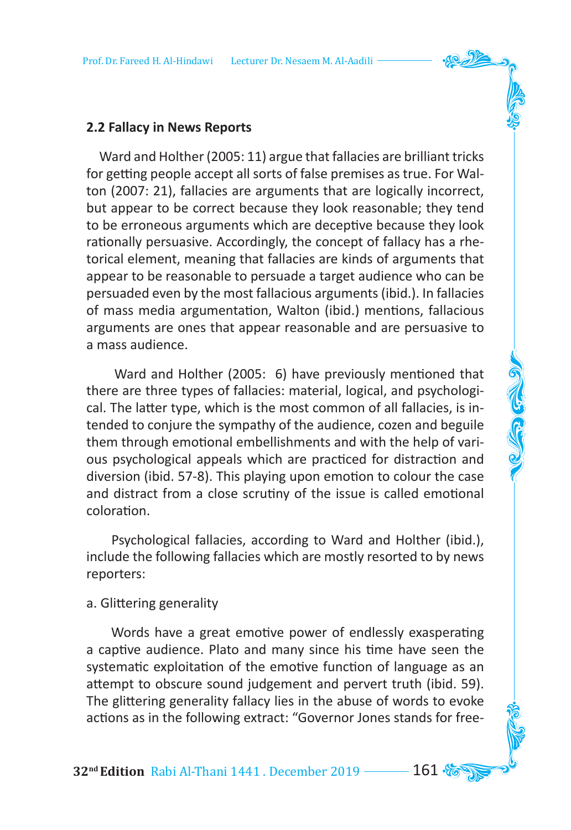### **2.2 Fallacy in News Reports**

 Ward and Holther (2005: 11) argue that fallacies are brilliant tricks for getting people accept all sorts of false premises as true. For Walton (2007: 21), fallacies are arguments that are logically incorrect, but appear to be correct because they look reasonable; they tend to be erroneous arguments which are deceptive because they look rationally persuasive. Accordingly, the concept of fallacy has a rhetorical element, meaning that fallacies are kinds of arguments that appear to be reasonable to persuade a target audience who can be persuaded even by the most fallacious arguments (ibid.). In fallacies of mass media argumentation, Walton (ibid.) mentions, fallacious arguments are ones that appear reasonable and are persuasive to a mass audience.

 Ward and Holther (2005: 6) have previously mentioned that there are three types of fallacies: material, logical, and psychological. The latter type, which is the most common of all fallacies, is intended to conjure the sympathy of the audience, cozen and beguile them through emotional embellishments and with the help of various psychological appeals which are practiced for distraction and diversion (ibid. 57-8). This playing upon emotion to colour the case and distract from a close scrutiny of the issue is called emotional coloration.

 Psychological fallacies, according to Ward and Holther (ibid.), include the following fallacies which are mostly resorted to by news reporters:

#### a. Glittering generality

 Words have a great emotive power of endlessly exasperating a captive audience. Plato and many since his time have seen the systematic exploitation of the emotive function of language as an attempt to obscure sound judgement and pervert truth (ibid. 59). The glittering generality fallacy lies in the abuse of words to evoke actions as in the following extract: "Governor Jones stands for free-

**32nd Edition** Rabi Al-Thani 1441 . December 2019 161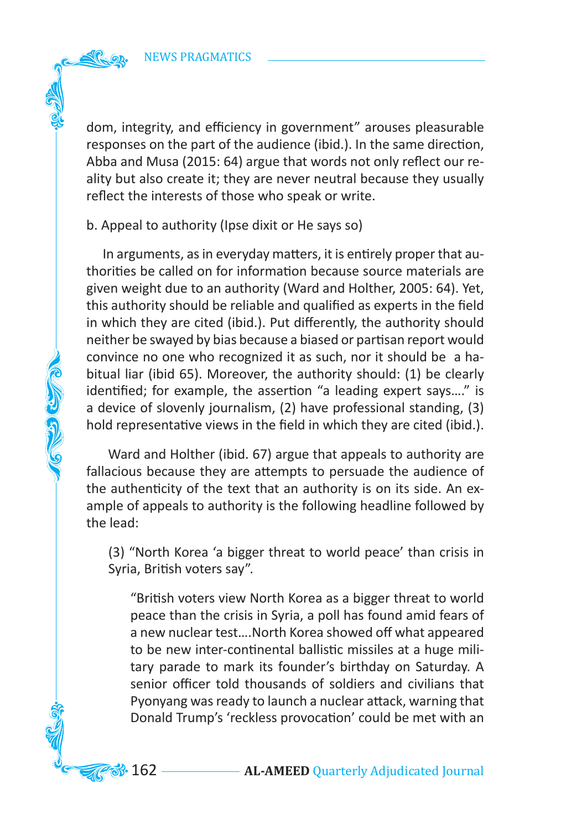dom, integrity, and efficiency in government" arouses pleasurable responses on the part of the audience (ibid.). In the same direction, Abba and Musa (2015: 64) argue that words not only reflect our reality but also create it; they are never neutral because they usually reflect the interests of those who speak or write.

b. Appeal to authority (Ipse dixit or He says so)

**COLORED COLOR** 

 In arguments, as in everyday matters, it is entirely proper that authorities be called on for information because source materials are given weight due to an authority (Ward and Holther, 2005: 64). Yet, this authority should be reliable and qualified as experts in the field in which they are cited (ibid.). Put differently, the authority should neither be swayed by bias because a biased or partisan report would convince no one who recognized it as such, nor it should be a habitual liar (ibid 65). Moreover, the authority should: (1) be clearly identified; for example, the assertion "a leading expert says…." is a device of slovenly journalism, (2) have professional standing, (3) hold representative views in the field in which they are cited (ibid.).

 Ward and Holther (ibid. 67) argue that appeals to authority are fallacious because they are attempts to persuade the audience of the authenticity of the text that an authority is on its side. An example of appeals to authority is the following headline followed by the lead:

(3) "North Korea 'a bigger threat to world peace' than crisis in Syria, British voters say".

"British voters view North Korea as a bigger threat to world peace than the crisis in Syria, a poll has found amid fears of a new nuclear test….North Korea showed off what appeared to be new inter-continental ballistic missiles at a huge military parade to mark its founder's birthday on Saturday. A senior officer told thousands of soldiers and civilians that Pyonyang was ready to launch a nuclear attack, warning that Donald Trump's 'reckless provocation' could be met with an

**33.** 162 — **AL-AMEED** Quarterly Adjudicated Journal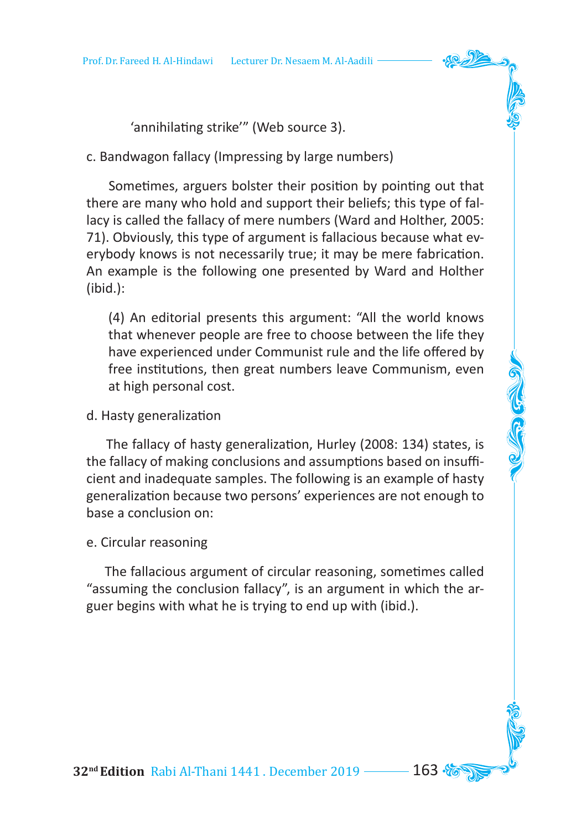'annihilating strike'" (Web source 3).

c. Bandwagon fallacy (Impressing by large numbers)

 Sometimes, arguers bolster their position by pointing out that there are many who hold and support their beliefs; this type of fallacy is called the fallacy of mere numbers (Ward and Holther, 2005: 71). Obviously, this type of argument is fallacious because what everybody knows is not necessarily true; it may be mere fabrication. An example is the following one presented by Ward and Holther (ibid.):

(4) An editorial presents this argument: "All the world knows that whenever people are free to choose between the life they have experienced under Communist rule and the life offered by free institutions, then great numbers leave Communism, even at high personal cost.

# d. Hasty generalization

 The fallacy of hasty generalization, Hurley (2008: 134) states, is the fallacy of making conclusions and assumptions based on insufficient and inadequate samples. The following is an example of hasty generalization because two persons' experiences are not enough to base a conclusion on:

### e. Circular reasoning

 The fallacious argument of circular reasoning, sometimes called "assuming the conclusion fallacy", is an argument in which the arguer begins with what he is trying to end up with (ibid.).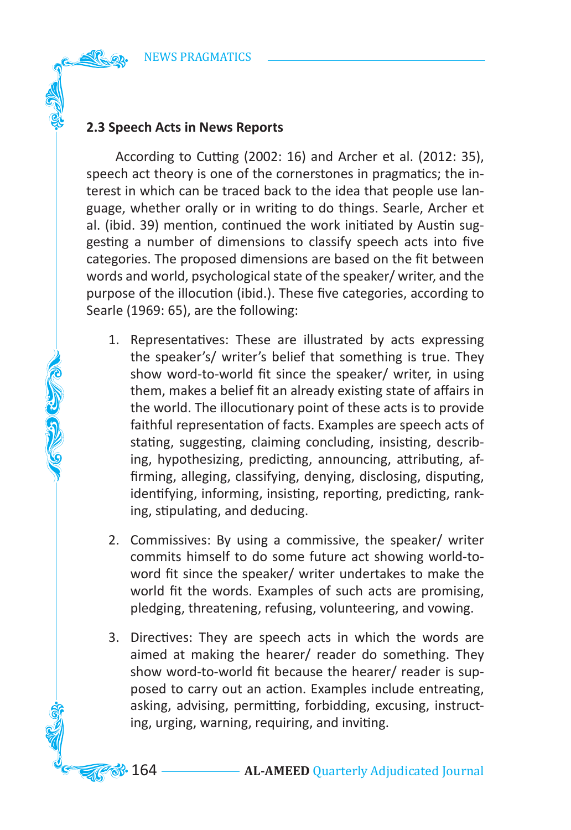# **2.3 Speech Acts in News Reports**

COLORIZED

 According to Cutting (2002: 16) and Archer et al. (2012: 35), speech act theory is one of the cornerstones in pragmatics; the interest in which can be traced back to the idea that people use language, whether orally or in writing to do things. Searle, Archer et al. (ibid. 39) mention, continued the work initiated by Austin suggesting a number of dimensions to classify speech acts into five categories. The proposed dimensions are based on the fit between words and world, psychological state of the speaker/ writer, and the purpose of the illocution (ibid.). These five categories, according to Searle (1969: 65), are the following:

- 1. Representatives: These are illustrated by acts expressing the speaker's/ writer's belief that something is true. They show word-to-world fit since the speaker/ writer, in using them, makes a belief fit an already existing state of affairs in the world. The illocutionary point of these acts is to provide faithful representation of facts. Examples are speech acts of stating, suggesting, claiming concluding, insisting, describing, hypothesizing, predicting, announcing, attributing, affirming, alleging, classifying, denying, disclosing, disputing, identifying, informing, insisting, reporting, predicting, ranking, stipulating, and deducing.
- 2. Commissives: By using a commissive, the speaker/ writer commits himself to do some future act showing world-toword fit since the speaker/ writer undertakes to make the world fit the words. Examples of such acts are promising, pledging, threatening, refusing, volunteering, and vowing.
- 3. Directives: They are speech acts in which the words are aimed at making the hearer/ reader do something. They show word-to-world fit because the hearer/ reader is supposed to carry out an action. Examples include entreating, asking, advising, permitting, forbidding, excusing, instructing, urging, warning, requiring, and inviting.

**33.** 164 **AL-AMEED** Quarterly Adjudicated Journal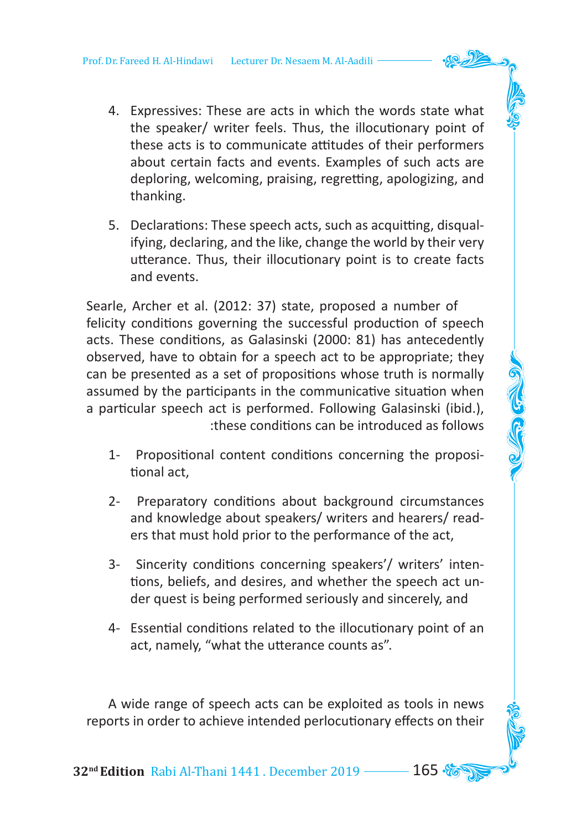- 4. Expressives: These are acts in which the words state what the speaker/ writer feels. Thus, the illocutionary point of these acts is to communicate attitudes of their performers about certain facts and events. Examples of such acts are deploring, welcoming, praising, regretting, apologizing, and thanking.
- 5. Declarations: These speech acts, such as acquitting, disqualifying, declaring, and the like, change the world by their very utterance. Thus, their illocutionary point is to create facts and events.

Searle, Archer et al. (2012: 37) state, proposed a number of felicity conditions governing the successful production of speech acts. These conditions, as Galasinski (2000: 81) has antecedently observed, have to obtain for a speech act to be appropriate; they can be presented as a set of propositions whose truth is normally assumed by the participants in the communicative situation when a particular speech act is performed. Following Galasinski (ibid.), :these conditions can be introduced as follows

- 1- Propositional content conditions concerning the propositional act,
- 2- Preparatory conditions about background circumstances and knowledge about speakers/ writers and hearers/ readers that must hold prior to the performance of the act,
- 3- Sincerity conditions concerning speakers'/ writers' intentions, beliefs, and desires, and whether the speech act under quest is being performed seriously and sincerely, and
- 4- Essential conditions related to the illocutionary point of an act, namely, "what the utterance counts as".

 A wide range of speech acts can be exploited as tools in news reports in order to achieve intended perlocutionary effects on their

**32<sup>nd</sup> Edition** Rabi Al-Thani 1441 . December 2019 ––––– 165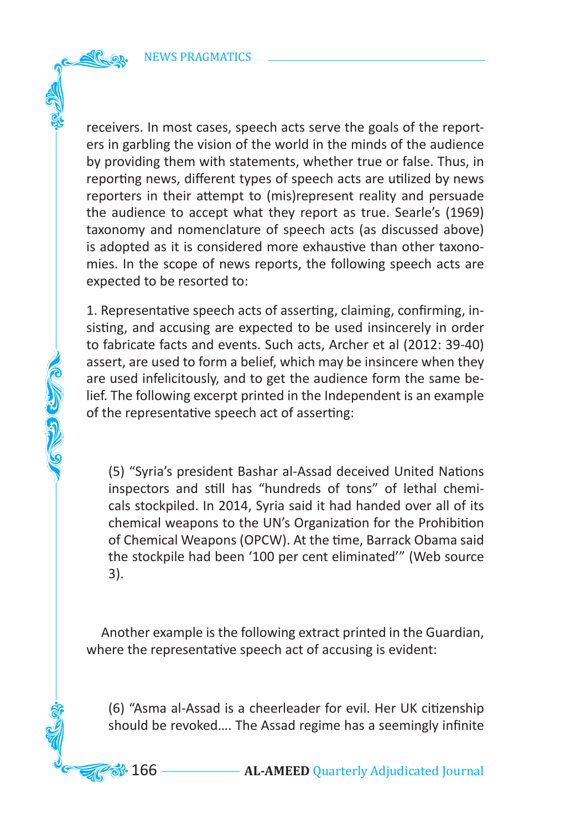CO COM

receivers. In most cases, speech acts serve the goals of the reporters in garbling the vision of the world in the minds of the audience by providing them with statements, whether true or false. Thus, in reporting news, different types of speech acts are utilized by news reporters in their attempt to (mis)represent reality and persuade the audience to accept what they report as true. Searle's (1969) taxonomy and nomenclature of speech acts (as discussed above) is adopted as it is considered more exhaustive than other taxonomies. In the scope of news reports, the following speech acts are expected to be resorted to:

1. Representative speech acts of asserting, claiming, confirming, insisting, and accusing are expected to be used insincerely in order to fabricate facts and events. Such acts, Archer et al (2012: 39-40) assert, are used to form a belief, which may be insincere when they are used infelicitously, and to get the audience form the same belief. The following excerpt printed in the Independent is an example of the representative speech act of asserting:

(5) "Syria's president Bashar al-Assad deceived United Nations inspectors and still has "hundreds of tons" of lethal chemicals stockpiled. In 2014, Syria said it had handed over all of its chemical weapons to the UN's Organization for the Prohibition of Chemical Weapons (OPCW). At the time, Barrack Obama said the stockpile had been '100 per cent eliminated'" (Web source 3).

 Another example is the following extract printed in the Guardian, where the representative speech act of accusing is evident:

(6) "Asma al-Assad is a cheerleader for evil. Her UK citizenship should be revoked…. The Assad regime has a seemingly infinite

**33.** 166 — **AL-AMEED** Quarterly Adjudicated Journal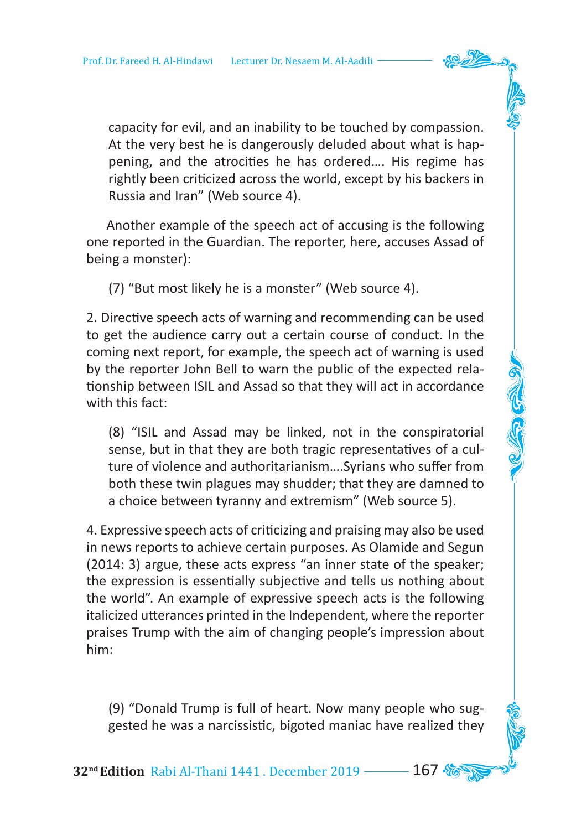capacity for evil, and an inability to be touched by compassion. At the very best he is dangerously deluded about what is happening, and the atrocities he has ordered…. His regime has rightly been criticized across the world, except by his backers in Russia and Iran" (Web source 4).

 Another example of the speech act of accusing is the following one reported in the Guardian. The reporter, here, accuses Assad of being a monster):

(7) "But most likely he is a monster" (Web source 4).

2. Directive speech acts of warning and recommending can be used to get the audience carry out a certain course of conduct. In the coming next report, for example, the speech act of warning is used by the reporter John Bell to warn the public of the expected relationship between ISIL and Assad so that they will act in accordance with this fact:

(8) "ISIL and Assad may be linked, not in the conspiratorial sense, but in that they are both tragic representatives of a culture of violence and authoritarianism….Syrians who suffer from both these twin plagues may shudder; that they are damned to a choice between tyranny and extremism" (Web source 5).

4. Expressive speech acts of criticizing and praising may also be used in news reports to achieve certain purposes. As Olamide and Segun (2014: 3) argue, these acts express "an inner state of the speaker; the expression is essentially subjective and tells us nothing about the world". An example of expressive speech acts is the following italicized utterances printed in the Independent, where the reporter praises Trump with the aim of changing people's impression about him:

(9) "Donald Trump is full of heart. Now many people who suggested he was a narcissistic, bigoted maniac have realized they

**32<sup>nd</sup> Edition** Rabi Al-Thani 1441 . December 2019 ––––– 167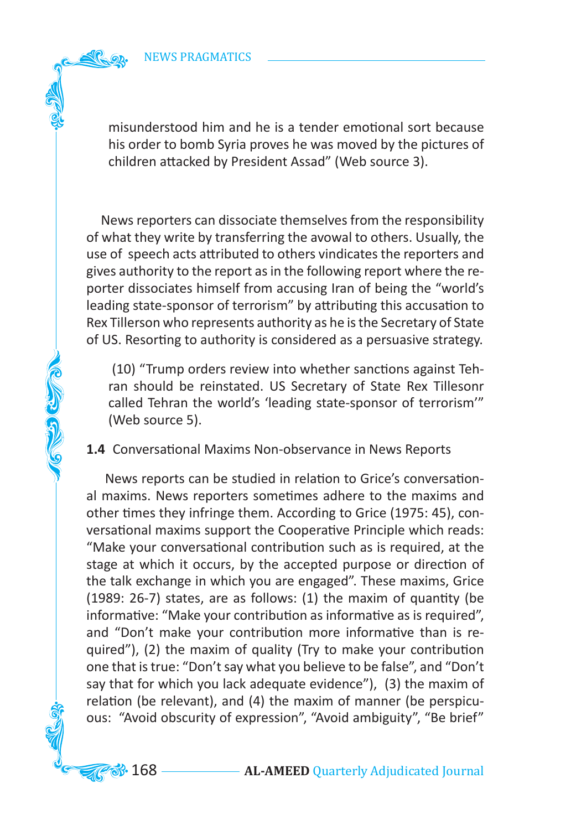CO CO CO

misunderstood him and he is a tender emotional sort because his order to bomb Syria proves he was moved by the pictures of children attacked by President Assad" (Web source 3).

 News reporters can dissociate themselves from the responsibility of what they write by transferring the avowal to others. Usually, the use of speech acts attributed to others vindicates the reporters and gives authority to the report as in the following report where the reporter dissociates himself from accusing Iran of being the "world's leading state-sponsor of terrorism" by attributing this accusation to Rex Tillerson who represents authority as he is the Secretary of State of US. Resorting to authority is considered as a persuasive strategy.

 (10) "Trump orders review into whether sanctions against Tehran should be reinstated. US Secretary of State Rex Tillesonr called Tehran the world's 'leading state-sponsor of terrorism'" (Web source 5).

**1.4** Conversational Maxims Non-observance in News Reports

 News reports can be studied in relation to Grice's conversational maxims. News reporters sometimes adhere to the maxims and other times they infringe them. According to Grice (1975: 45), conversational maxims support the Cooperative Principle which reads: "Make your conversational contribution such as is required, at the stage at which it occurs, by the accepted purpose or direction of the talk exchange in which you are engaged". These maxims, Grice (1989: 26-7) states, are as follows: (1) the maxim of quantity (be informative: "Make your contribution as informative as is required", and "Don't make your contribution more informative than is required"), (2) the maxim of quality (Try to make your contribution one that is true: "Don't say what you believe to be false", and "Don't say that for which you lack adequate evidence"), (3) the maxim of relation (be relevant), and (4) the maxim of manner (be perspicuous: "Avoid obscurity of expression", "Avoid ambiguity", "Be brief"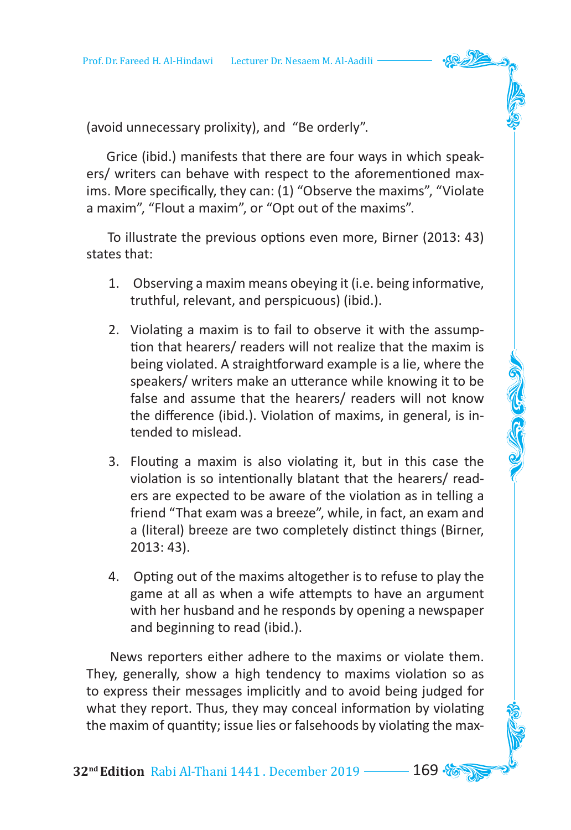(avoid unnecessary prolixity), and "Be orderly".

 Grice (ibid.) manifests that there are four ways in which speakers/ writers can behave with respect to the aforementioned maxims. More specifically, they can: (1) "Observe the maxims", "Violate a maxim", "Flout a maxim", or "Opt out of the maxims".

 To illustrate the previous options even more, Birner (2013: 43) states that:

- 1. Observing a maxim means obeying it (i.e. being informative, truthful, relevant, and perspicuous) (ibid.).
- 2. Violating a maxim is to fail to observe it with the assumption that hearers/ readers will not realize that the maxim is being violated. A straightforward example is a lie, where the speakers/ writers make an utterance while knowing it to be false and assume that the hearers/ readers will not know the difference (ibid.). Violation of maxims, in general, is intended to mislead.
- 3. Flouting a maxim is also violating it, but in this case the violation is so intentionally blatant that the hearers/ readers are expected to be aware of the violation as in telling a friend "That exam was a breeze", while, in fact, an exam and a (literal) breeze are two completely distinct things (Birner, 2013: 43).
- 4. Opting out of the maxims altogether is to refuse to play the game at all as when a wife attempts to have an argument with her husband and he responds by opening a newspaper and beginning to read (ibid.).

 News reporters either adhere to the maxims or violate them. They, generally, show a high tendency to maxims violation so as to express their messages implicitly and to avoid being judged for what they report. Thus, they may conceal information by violating the maxim of quantity; issue lies or falsehoods by violating the max-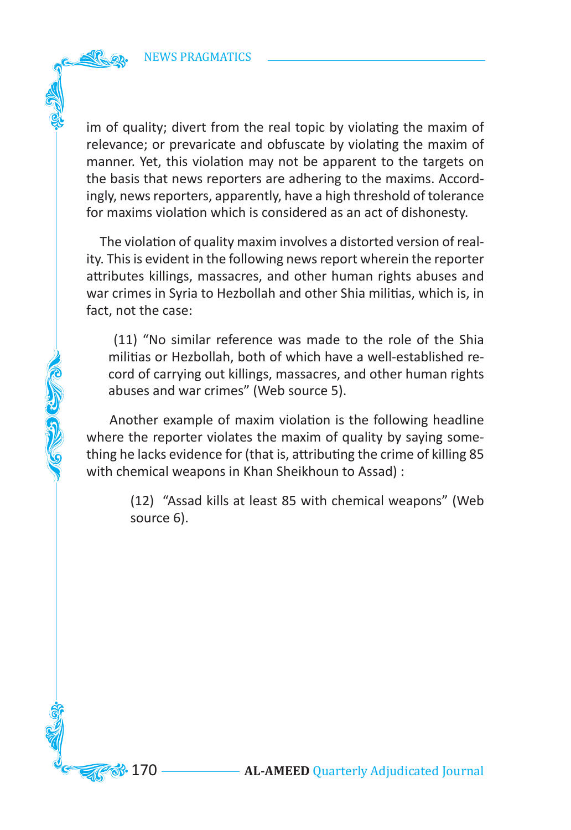**COLORED COLOR** 

im of quality; divert from the real topic by violating the maxim of relevance; or prevaricate and obfuscate by violating the maxim of manner. Yet, this violation may not be apparent to the targets on the basis that news reporters are adhering to the maxims. Accordingly, news reporters, apparently, have a high threshold of tolerance for maxims violation which is considered as an act of dishonesty.

 The violation of quality maxim involves a distorted version of reality. This is evident in the following news report wherein the reporter attributes killings, massacres, and other human rights abuses and war crimes in Syria to Hezbollah and other Shia militias, which is, in fact, not the case:

 (11) "No similar reference was made to the role of the Shia militias or Hezbollah, both of which have a well-established record of carrying out killings, massacres, and other human rights abuses and war crimes" (Web source 5).

 Another example of maxim violation is the following headline where the reporter violates the maxim of quality by saying something he lacks evidence for (that is, attributing the crime of killing 85 with chemical weapons in Khan Sheikhoun to Assad) :

> (12) "Assad kills at least 85 with chemical weapons" (Web source 6).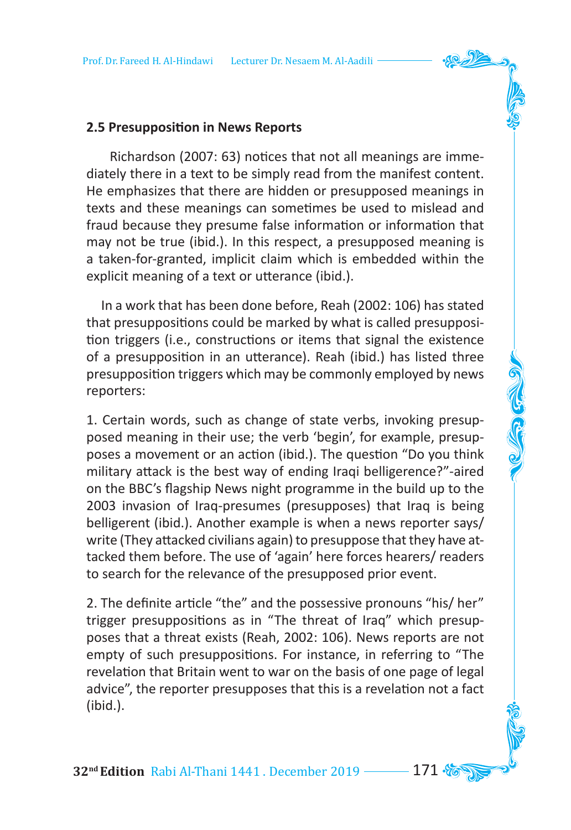## **2.5 Presupposition in News Reports**

 Richardson (2007: 63) notices that not all meanings are immediately there in a text to be simply read from the manifest content. He emphasizes that there are hidden or presupposed meanings in texts and these meanings can sometimes be used to mislead and fraud because they presume false information or information that may not be true (ibid.). In this respect, a presupposed meaning is a taken-for-granted, implicit claim which is embedded within the explicit meaning of a text or utterance (ibid.).

 In a work that has been done before, Reah (2002: 106) has stated that presuppositions could be marked by what is called presupposition triggers (i.e., constructions or items that signal the existence of a presupposition in an utterance). Reah (ibid.) has listed three presupposition triggers which may be commonly employed by news reporters:

1. Certain words, such as change of state verbs, invoking presupposed meaning in their use; the verb 'begin', for example, presupposes a movement or an action (ibid.). The question "Do you think military attack is the best way of ending Iraqi belligerence?"-aired on the BBC's flagship News night programme in the build up to the 2003 invasion of Iraq-presumes (presupposes) that Iraq is being belligerent (ibid.). Another example is when a news reporter says/ write (They attacked civilians again) to presuppose that they have attacked them before. The use of 'again' here forces hearers/ readers to search for the relevance of the presupposed prior event.

2. The definite article "the" and the possessive pronouns "his/ her" trigger presuppositions as in "The threat of Iraq" which presupposes that a threat exists (Reah, 2002: 106). News reports are not empty of such presuppositions. For instance, in referring to "The revelation that Britain went to war on the basis of one page of legal advice", the reporter presupposes that this is a revelation not a fact (ibid.).

**32<sup>nd</sup> Edition** Rabi Al-Thani 1441 . December 2019 –––––– 171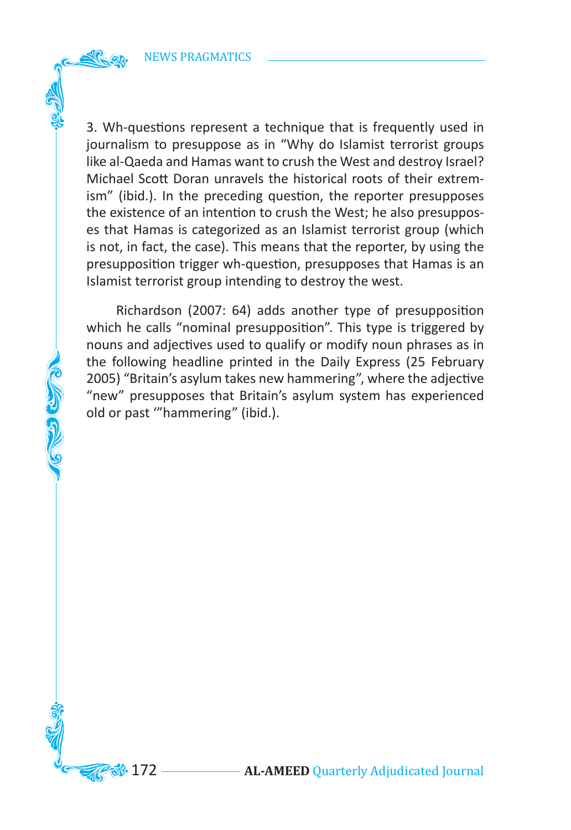**COLLEGE** 

3. Wh-questions represent a technique that is frequently used in journalism to presuppose as in "Why do Islamist terrorist groups like al-Qaeda and Hamas want to crush the West and destroy Israel? Michael Scott Doran unravels the historical roots of their extremism" (ibid.). In the preceding question, the reporter presupposes the existence of an intention to crush the West; he also presupposes that Hamas is categorized as an Islamist terrorist group (which is not, in fact, the case). This means that the reporter, by using the presupposition trigger wh-question, presupposes that Hamas is an Islamist terrorist group intending to destroy the west.

 Richardson (2007: 64) adds another type of presupposition which he calls "nominal presupposition". This type is triggered by nouns and adjectives used to qualify or modify noun phrases as in the following headline printed in the Daily Express (25 February 2005) "Britain's asylum takes new hammering", where the adjective "new" presupposes that Britain's asylum system has experienced old or past '"hammering" (ibid.).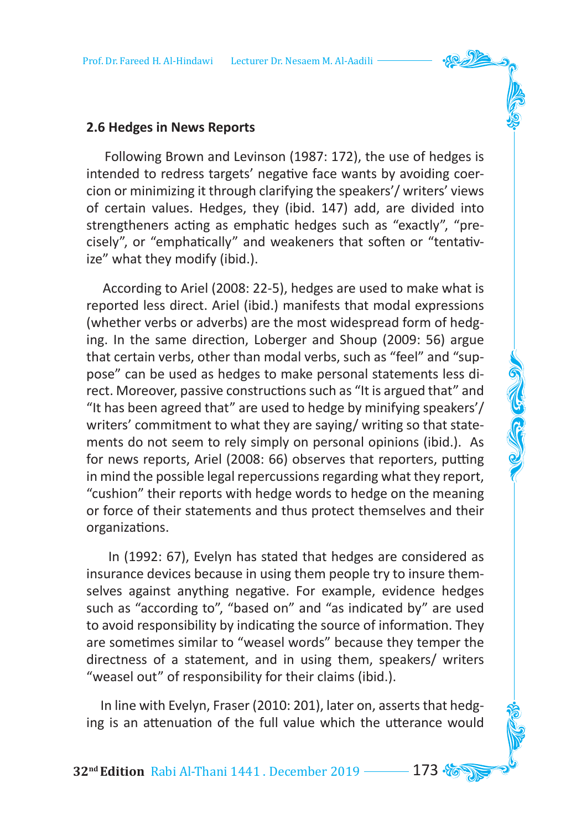### **2.6 Hedges in News Reports**

 Following Brown and Levinson (1987: 172), the use of hedges is intended to redress targets' negative face wants by avoiding coercion or minimizing it through clarifying the speakers'/ writers' views of certain values. Hedges, they (ibid. 147) add, are divided into strengtheners acting as emphatic hedges such as "exactly", "precisely", or "emphatically" and weakeners that soften or "tentativize" what they modify (ibid.).

 According to Ariel (2008: 22-5), hedges are used to make what is reported less direct. Ariel (ibid.) manifests that modal expressions (whether verbs or adverbs) are the most widespread form of hedging. In the same direction, Loberger and Shoup (2009: 56) argue that certain verbs, other than modal verbs, such as "feel" and "suppose" can be used as hedges to make personal statements less direct. Moreover, passive constructions such as "It is argued that" and "It has been agreed that" are used to hedge by minifying speakers'/ writers' commitment to what they are saying/ writing so that statements do not seem to rely simply on personal opinions (ibid.). As for news reports, Ariel (2008: 66) observes that reporters, putting in mind the possible legal repercussions regarding what they report, "cushion" their reports with hedge words to hedge on the meaning or force of their statements and thus protect themselves and their organizations.

 In (1992: 67), Evelyn has stated that hedges are considered as insurance devices because in using them people try to insure themselves against anything negative. For example, evidence hedges such as "according to", "based on" and "as indicated by" are used to avoid responsibility by indicating the source of information. They are sometimes similar to "weasel words" because they temper the directness of a statement, and in using them, speakers/ writers "weasel out" of responsibility for their claims (ibid.).

 In line with Evelyn, Fraser (2010: 201), later on, asserts that hedging is an attenuation of the full value which the utterance would

**32nd Edition** Rabi Al-Thani 1441 . December 2019 173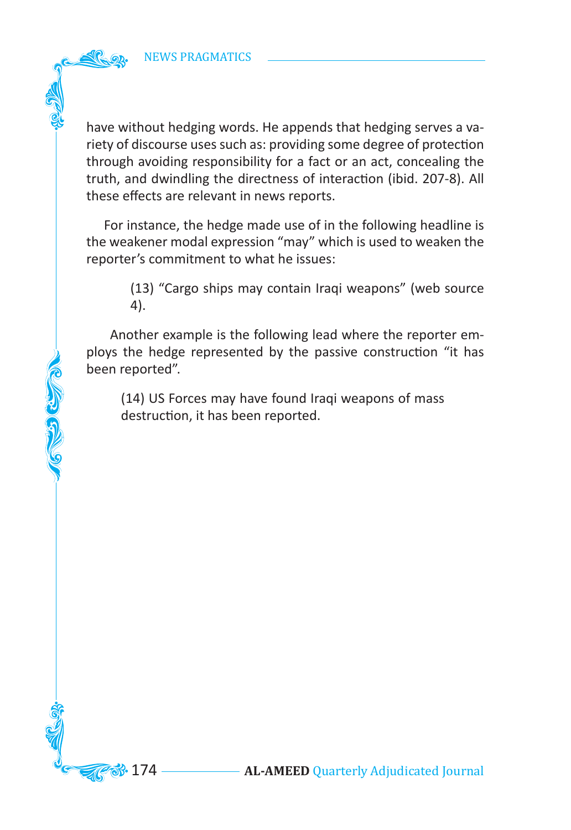COLORIZACIÓN

have without hedging words. He appends that hedging serves a variety of discourse uses such as: providing some degree of protection through avoiding responsibility for a fact or an act, concealing the truth, and dwindling the directness of interaction (ibid. 207-8). All these effects are relevant in news reports.

 For instance, the hedge made use of in the following headline is the weakener modal expression "may" which is used to weaken the reporter's commitment to what he issues:

> (13) "Cargo ships may contain Iraqi weapons" (web source 4).

 Another example is the following lead where the reporter employs the hedge represented by the passive construction "it has been reported".

(14) US Forces may have found Iraqi weapons of mass destruction, it has been reported.

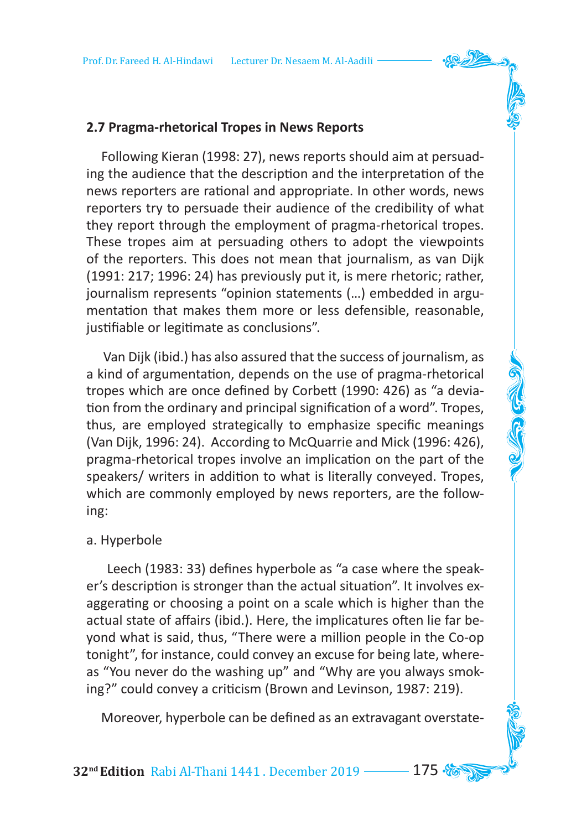## **2.7 Pragma-rhetorical Tropes in News Reports**

 Following Kieran (1998: 27), news reports should aim at persuading the audience that the description and the interpretation of the news reporters are rational and appropriate. In other words, news reporters try to persuade their audience of the credibility of what they report through the employment of pragma-rhetorical tropes. These tropes aim at persuading others to adopt the viewpoints of the reporters. This does not mean that journalism, as van Dijk (1991: 217; 1996: 24) has previously put it, is mere rhetoric; rather, journalism represents "opinion statements (…) embedded in argumentation that makes them more or less defensible, reasonable, justifiable or legitimate as conclusions".

 Van Dijk (ibid.) has also assured that the success of journalism, as a kind of argumentation, depends on the use of pragma-rhetorical tropes which are once defined by Corbett (1990: 426) as "a deviation from the ordinary and principal signification of a word". Tropes, thus, are employed strategically to emphasize specific meanings (Van Dijk, 1996: 24). According to McQuarrie and Mick (1996: 426), pragma-rhetorical tropes involve an implication on the part of the speakers/ writers in addition to what is literally conveyed. Tropes, which are commonly employed by news reporters, are the following:

### a. Hyperbole

 Leech (1983: 33) defines hyperbole as "a case where the speaker's description is stronger than the actual situation". It involves exaggerating or choosing a point on a scale which is higher than the actual state of affairs (ibid.). Here, the implicatures often lie far beyond what is said, thus, "There were a million people in the Co-op tonight", for instance, could convey an excuse for being late, whereas "You never do the washing up" and "Why are you always smoking?" could convey a criticism (Brown and Levinson, 1987: 219).

Moreover, hyperbole can be defined as an extravagant overstate-

**32<sup>nd</sup> Edition** Rabi Al-Thani 1441 . December 2019 ––––– 175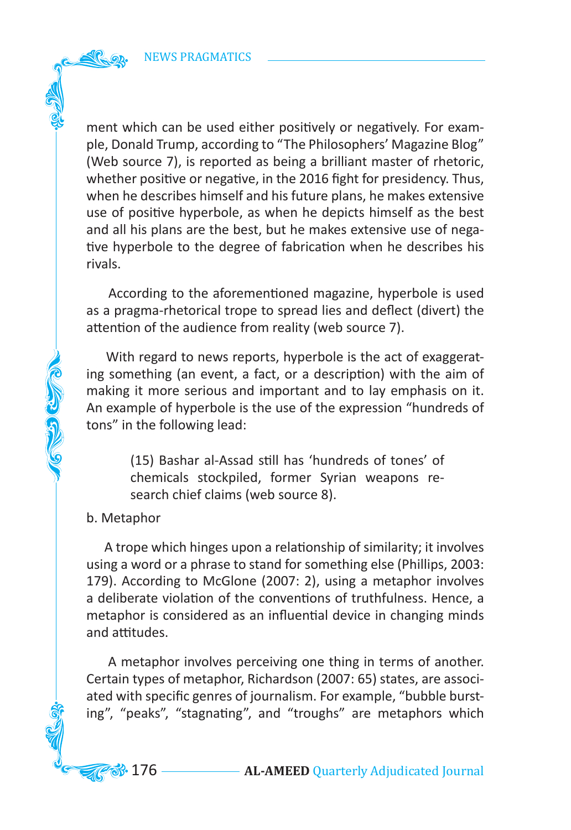ment which can be used either positively or negatively. For example, Donald Trump, according to "The Philosophers' Magazine Blog" (Web source 7), is reported as being a brilliant master of rhetoric, whether positive or negative, in the 2016 fight for presidency. Thus, when he describes himself and his future plans, he makes extensive use of positive hyperbole, as when he depicts himself as the best and all his plans are the best, but he makes extensive use of negative hyperbole to the degree of fabrication when he describes his rivals.

 According to the aforementioned magazine, hyperbole is used as a pragma-rhetorical trope to spread lies and deflect (divert) the attention of the audience from reality (web source 7).

 With regard to news reports, hyperbole is the act of exaggerating something (an event, a fact, or a description) with the aim of making it more serious and important and to lay emphasis on it. An example of hyperbole is the use of the expression "hundreds of tons" in the following lead:

> (15) Bashar al-Assad still has 'hundreds of tones' of chemicals stockpiled, former Syrian weapons research chief claims (web source 8).

#### b. Metaphor

 A trope which hinges upon a relationship of similarity; it involves using a word or a phrase to stand for something else (Phillips, 2003: 179). According to McGlone (2007: 2), using a metaphor involves a deliberate violation of the conventions of truthfulness. Hence, a metaphor is considered as an influential device in changing minds and attitudes.

 A metaphor involves perceiving one thing in terms of another. Certain types of metaphor, Richardson (2007: 65) states, are associated with specific genres of journalism. For example, "bubble bursting", "peaks", "stagnating", and "troughs" are metaphors which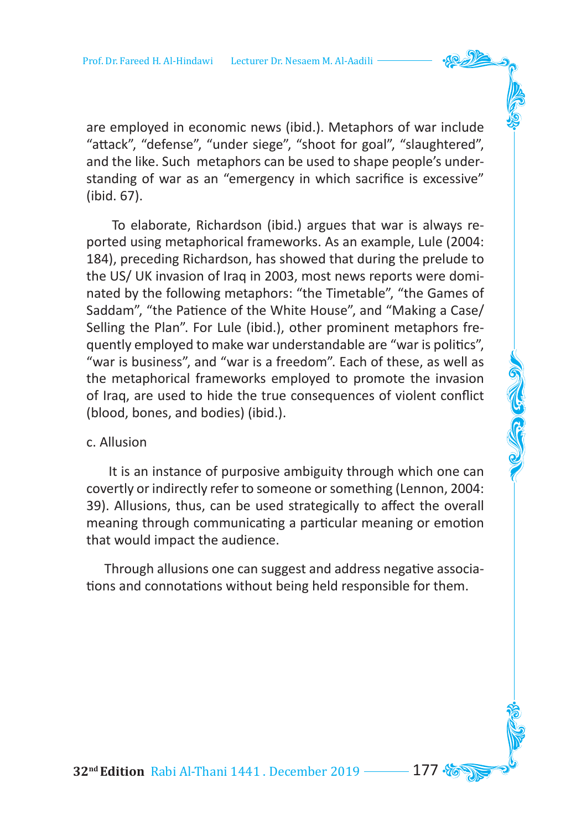are employed in economic news (ibid.). Metaphors of war include "attack", "defense", "under siege", "shoot for goal", "slaughtered", and the like. Such metaphors can be used to shape people's understanding of war as an "emergency in which sacrifice is excessive" (ibid. 67).

 To elaborate, Richardson (ibid.) argues that war is always reported using metaphorical frameworks. As an example, Lule (2004: 184), preceding Richardson, has showed that during the prelude to the US/ UK invasion of Iraq in 2003, most news reports were dominated by the following metaphors: "the Timetable", "the Games of Saddam", "the Patience of the White House", and "Making a Case/ Selling the Plan". For Lule (ibid.), other prominent metaphors frequently employed to make war understandable are "war is politics", "war is business", and "war is a freedom". Each of these, as well as the metaphorical frameworks employed to promote the invasion of Iraq, are used to hide the true consequences of violent conflict (blood, bones, and bodies) (ibid.).

### c. Allusion

 It is an instance of purposive ambiguity through which one can covertly or indirectly refer to someone or something (Lennon, 2004: 39). Allusions, thus, can be used strategically to affect the overall meaning through communicating a particular meaning or emotion that would impact the audience.

 Through allusions one can suggest and address negative associations and connotations without being held responsible for them.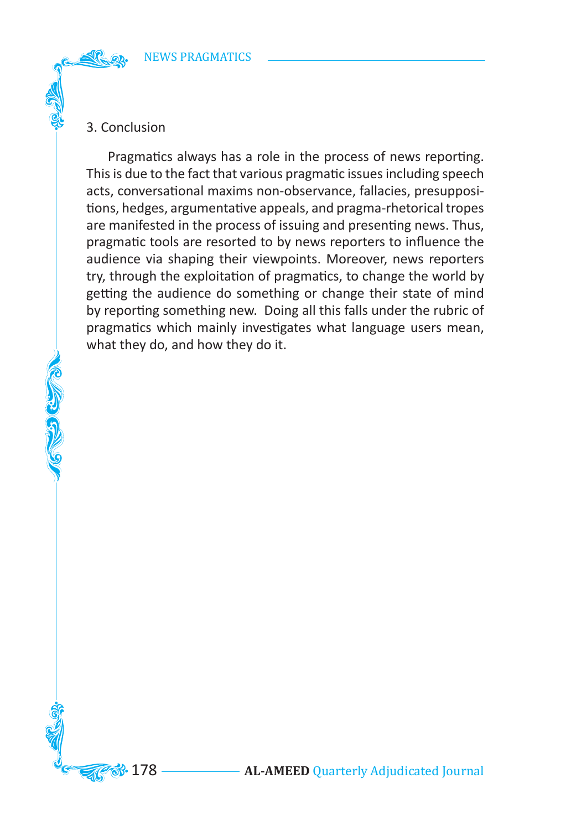# 3. Conclusion

 Pragmatics always has a role in the process of news reporting. This is due to the fact that various pragmatic issues including speech acts, conversational maxims non-observance, fallacies, presuppositions, hedges, argumentative appeals, and pragma-rhetorical tropes are manifested in the process of issuing and presenting news. Thus, pragmatic tools are resorted to by news reporters to influence the audience via shaping their viewpoints. Moreover, news reporters try, through the exploitation of pragmatics, to change the world by getting the audience do something or change their state of mind by reporting something new. Doing all this falls under the rubric of pragmatics which mainly investigates what language users mean, what they do, and how they do it.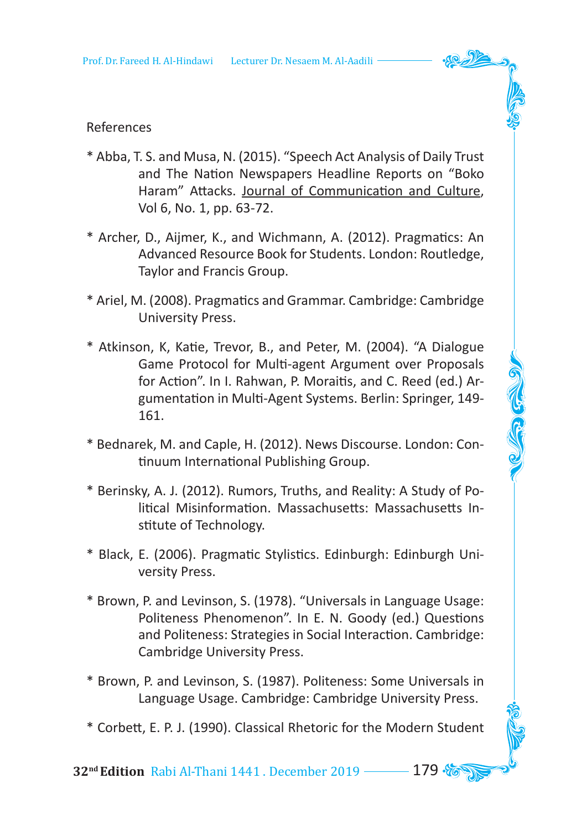

- \* Abba, T. S. and Musa, N. (2015). "Speech Act Analysis of Daily Trust and The Nation Newspapers Headline Reports on "Boko Haram" Attacks. Journal of Communication and Culture, Vol 6, No. 1, pp. 63-72.
- \* Archer, D., Aijmer, K., and Wichmann, A. (2012). Pragmatics: An Advanced Resource Book for Students. London: Routledge, Taylor and Francis Group.
- \* Ariel, M. (2008). Pragmatics and Grammar. Cambridge: Cambridge University Press.
- \* Atkinson, K, Katie, Trevor, B., and Peter, M. (2004). "A Dialogue Game Protocol for Multi-agent Argument over Proposals for Action". In I. Rahwan, P. Moraitis, and C. Reed (ed.) Argumentation in Multi-Agent Systems. Berlin: Springer, 149- 161.
- \* Bednarek, M. and Caple, H. (2012). News Discourse. London: Continuum International Publishing Group.
- \* Berinsky, A. J. (2012). Rumors, Truths, and Reality: A Study of Political Misinformation. Massachusetts: Massachusetts Institute of Technology.
- \* Black, E. (2006). Pragmatic Stylistics. Edinburgh: Edinburgh University Press.
- \* Brown, P. and Levinson, S. (1978). "Universals in Language Usage: Politeness Phenomenon". In E. N. Goody (ed.) Questions and Politeness: Strategies in Social Interaction. Cambridge: Cambridge University Press.
- \* Brown, P. and Levinson, S. (1987). Politeness: Some Universals in Language Usage. Cambridge: Cambridge University Press.
- \* Corbett, E. P. J. (1990). Classical Rhetoric for the Modern Student

**32<sup>nd</sup> Edition** Rabi Al-Thani 1441 . December 2019 **179**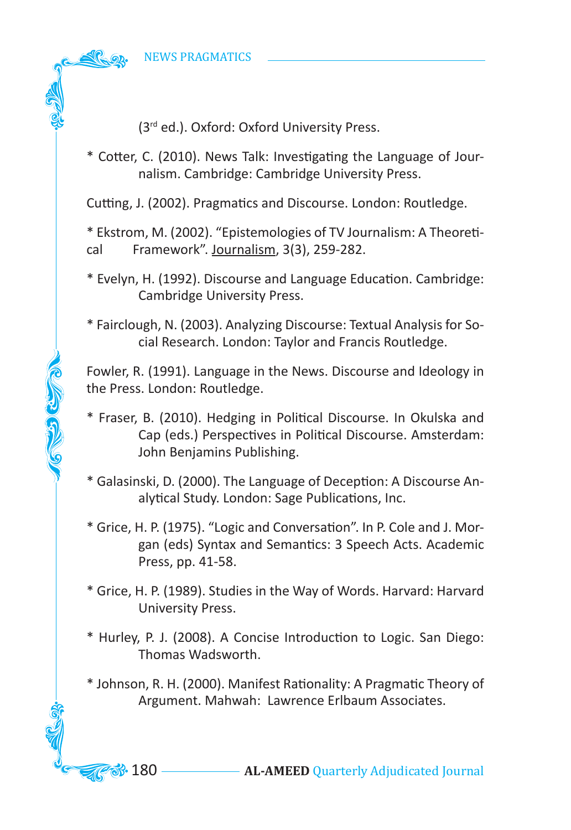**COLLES** 

(3rd ed.). Oxford: Oxford University Press.

\* Cotter, C. (2010). News Talk: Investigating the Language of Journalism. Cambridge: Cambridge University Press.

Cutting, J. (2002). Pragmatics and Discourse. London: Routledge.

\* Ekstrom, M. (2002). "Epistemologies of TV Journalism: A Theoretical Framework". Journalism, 3(3), 259-282.

\* Evelyn, H. (1992). Discourse and Language Education. Cambridge: Cambridge University Press.

\* Fairclough, N. (2003). Analyzing Discourse: Textual Analysis for Social Research. London: Taylor and Francis Routledge.

Fowler, R. (1991). Language in the News. Discourse and Ideology in the Press. London: Routledge.

\* Fraser, B. (2010). Hedging in Political Discourse. In Okulska and Cap (eds.) Perspectives in Political Discourse. Amsterdam: John Benjamins Publishing.

\* Galasinski, D. (2000). The Language of Deception: A Discourse Analytical Study. London: Sage Publications, Inc.

\* Grice, H. P. (1975). "Logic and Conversation". In P. Cole and J. Morgan (eds) Syntax and Semantics: 3 Speech Acts. Academic Press, pp. 41-58.

\* Grice, H. P. (1989). Studies in the Way of Words. Harvard: Harvard University Press.

\* Hurley, P. J. (2008). A Concise Introduction to Logic. San Diego: Thomas Wadsworth.

\* Johnson, R. H. (2000). Manifest Rationality: A Pragmatic Theory of Argument. Mahwah: Lawrence Erlbaum Associates.

**33.** 180 — **AL-AMEED** Quarterly Adjudicated Journal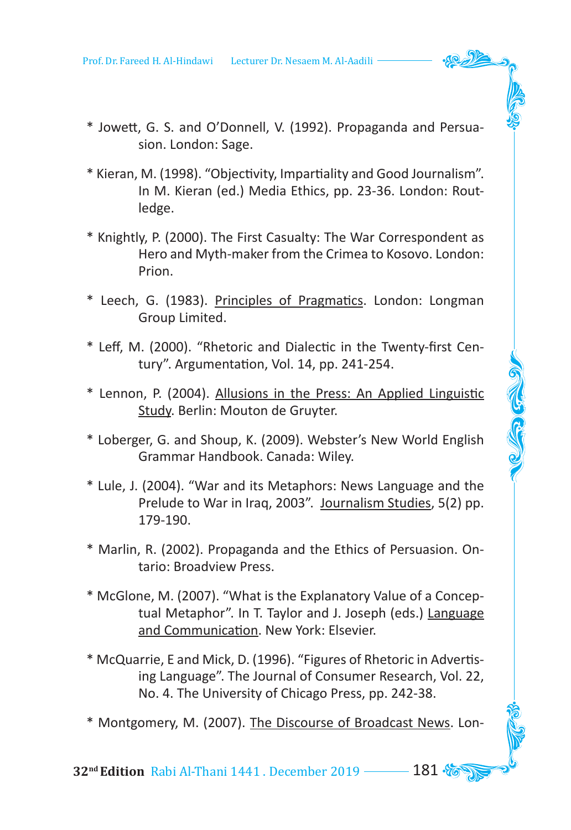Prof. Dr. Fareed H. Al-Hindawi Lecturer Dr. Nesaem M. Al-Aadili

- \* Jowett, G. S. and O'Donnell, V. (1992). Propaganda and Persuasion. London: Sage.
- \* Kieran, M. (1998). "Objectivity, Impartiality and Good Journalism". In M. Kieran (ed.) Media Ethics, pp. 23-36. London: Routledge.
- \* Knightly, P. (2000). The First Casualty: The War Correspondent as Hero and Myth-maker from the Crimea to Kosovo. London: Prion.
- \* Leech, G. (1983). Principles of Pragmatics. London: Longman Group Limited.
- \* Leff, M. (2000). "Rhetoric and Dialectic in the Twenty-first Century". Argumentation, Vol. 14, pp. 241-254.
- \* Lennon, P. (2004). Allusions in the Press: An Applied Linguistic Study. Berlin: Mouton de Gruyter.

C. C. C.

- \* Loberger, G. and Shoup, K. (2009). Webster's New World English Grammar Handbook. Canada: Wiley.
- \* Lule, J. (2004). "War and its Metaphors: News Language and the Prelude to War in Iraq, 2003". Journalism Studies, 5(2) pp. 179-190.
- \* Marlin, R. (2002). Propaganda and the Ethics of Persuasion. Ontario: Broadview Press.
- \* McGlone, M. (2007). "What is the Explanatory Value of a Conceptual Metaphor". In T. Taylor and J. Joseph (eds.) Language and Communication. New York: Elsevier.
- \* McQuarrie, E and Mick, D. (1996). "Figures of Rhetoric in Advertising Language". The Journal of Consumer Research, Vol. 22, No. 4. The University of Chicago Press, pp. 242-38.
- \* Montgomery, M. (2007). The Discourse of Broadcast News. Lon-

**32<sup>nd</sup> Edition** Rabi Al-Thani 1441 . December 2019 **181 %**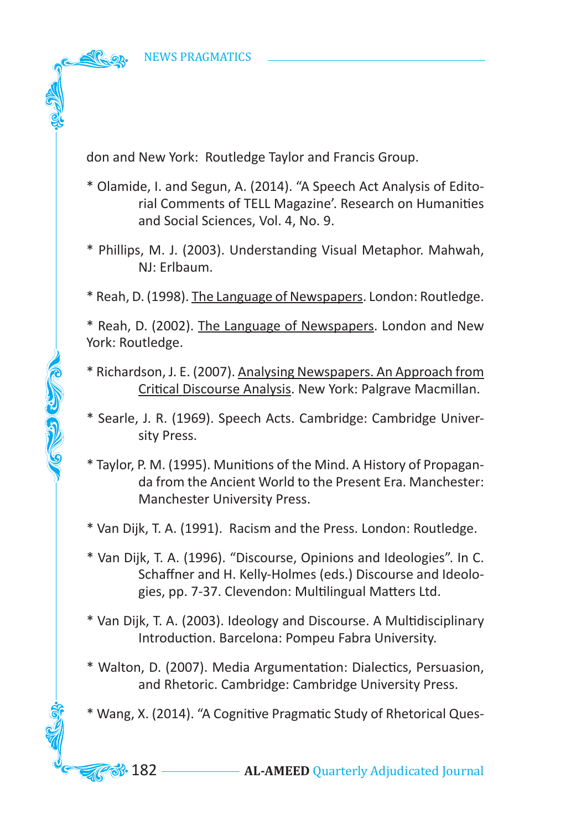**COLLEGE** 

don and New York: Routledge Taylor and Francis Group.

- \* Olamide, I. and Segun, A. (2014). "A Speech Act Analysis of Editorial Comments of TELL Magazine'. Research on Humanities and Social Sciences, Vol. 4, No. 9.
- \* Phillips, M. J. (2003). Understanding Visual Metaphor. Mahwah, NJ: Erlbaum.

\* Reah, D. (1998). The Language of Newspapers. London: Routledge.

\* Reah, D. (2002). The Language of Newspapers. London and New York: Routledge.

\* Richardson, J. E. (2007). Analysing Newspapers. An Approach from Critical Discourse Analysis. New York: Palgrave Macmillan.

\* Searle, J. R. (1969). Speech Acts. Cambridge: Cambridge University Press.

\* Taylor, P. M. (1995). Munitions of the Mind. A History of Propaganda from the Ancient World to the Present Era. Manchester: Manchester University Press.

\* Van Dijk, T. A. (1991). Racism and the Press. London: Routledge.

\* Van Dijk, T. A. (1996). "Discourse, Opinions and Ideologies". In C. Schaffner and H. Kelly-Holmes (eds.) Discourse and Ideologies, pp. 7-37. Clevendon: Multilingual Matters Ltd.

\* Van Dijk, T. A. (2003). Ideology and Discourse. A Multidisciplinary Introduction. Barcelona: Pompeu Fabra University.

\* Walton, D. (2007). Media Argumentation: Dialectics, Persuasion, and Rhetoric. Cambridge: Cambridge University Press.

\* Wang, X. (2014). "A Cognitive Pragmatic Study of Rhetorical Ques-

**88.** 182 — **AL-AMEED** Quarterly Adjudicated Journal